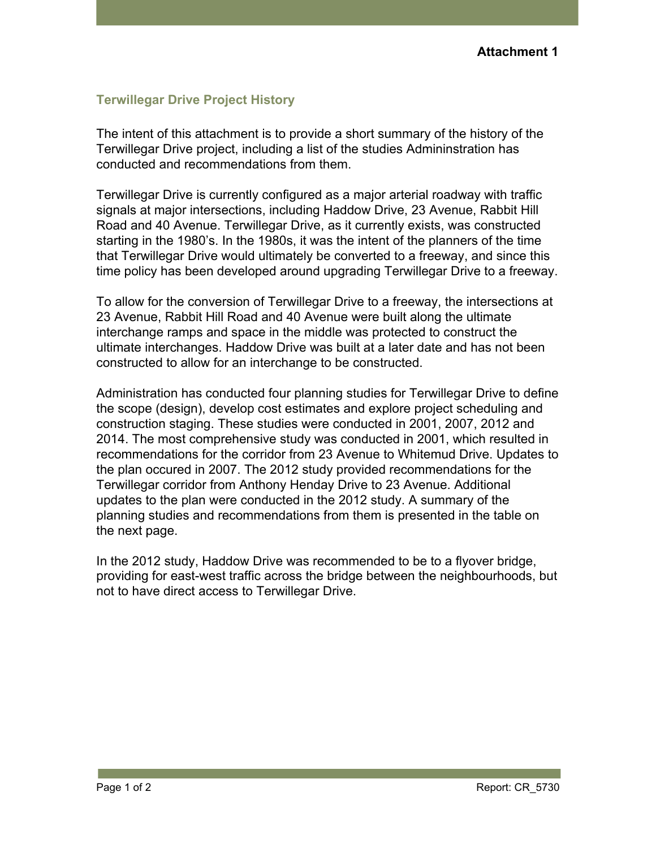## **Terwillegar Drive Project History**

The intent of this attachment is to provide a short summary of the history of the Terwillegar Drive project, including a list of the studies Admininstration has conducted and recommendations from them.

Terwillegar Drive is currently configured as a major arterial roadway with traffic signals at major intersections, including Haddow Drive, 23 Avenue, Rabbit Hill Road and 40 Avenue. Terwillegar Drive, as it currently exists, was constructed starting in the 1980's. In the 1980s, it was the intent of the planners of the time that Terwillegar Drive would ultimately be converted to a freeway, and since this time policy has been developed around upgrading Terwillegar Drive to a freeway.

To allow for the conversion of Terwillegar Drive to a freeway, the intersections at 23 Avenue, Rabbit Hill Road and 40 Avenue were built along the ultimate interchange ramps and space in the middle was protected to construct the ultimate interchanges. Haddow Drive was built at a later date and has not been constructed to allow for an interchange to be constructed.

Administration has conducted four planning studies for Terwillegar Drive to define the scope (design), develop cost estimates and explore project scheduling and construction staging. These studies were conducted in 2001, 2007, 2012 and 2014. The most comprehensive study was conducted in 2001, which resulted in recommendations for the corridor from 23 Avenue to Whitemud Drive. Updates to the plan occured in 2007. The 2012 study provided recommendations for the Terwillegar corridor from Anthony Henday Drive to 23 Avenue. Additional updates to the plan were conducted in the 2012 study. A summary of the planning studies and recommendations from them is presented in the table on the next page.

In the 2012 study, Haddow Drive was recommended to be to a flyover bridge, providing for east-west traffic across the bridge between the neighbourhoods, but not to have direct access to Terwillegar Drive.